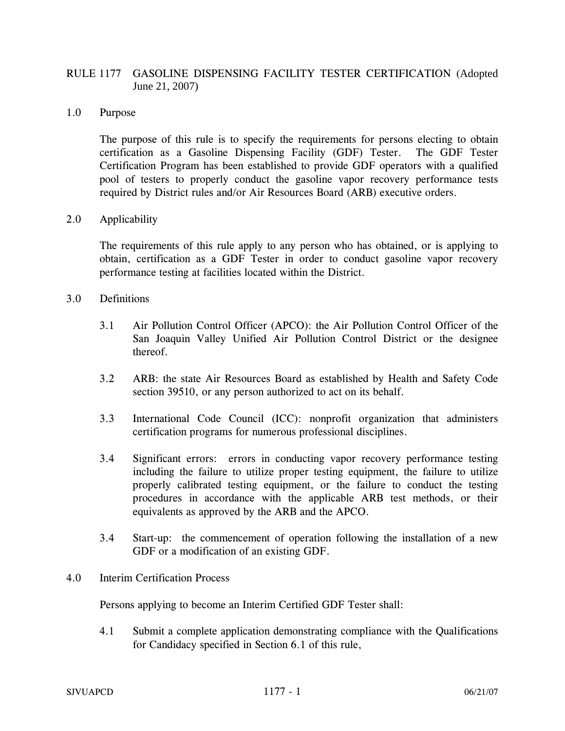# RULE 1177 GASOLINE DISPENSING FACILITY TESTER CERTIFICATION (Adopted June 21, 2007)

## 1.0 Purpose

The purpose of this rule is to specify the requirements for persons electing to obtain certification as a Gasoline Dispensing Facility (GDF) Tester. The GDF Tester Certification Program has been established to provide GDF operators with a qualified pool of testers to properly conduct the gasoline vapor recovery performance tests required by District rules and/or Air Resources Board (ARB) executive orders.

# 2.0 Applicability

The requirements of this rule apply to any person who has obtained, or is applying to obtain, certification as a GDF Tester in order to conduct gasoline vapor recovery performance testing at facilities located within the District.

#### 3.0 Definitions

- 3.1 Air Pollution Control Officer (APCO): the Air Pollution Control Officer of the San Joaquin Valley Unified Air Pollution Control District or the designee thereof.
- 3.2 ARB: the state Air Resources Board as established by Health and Safety Code section 39510, or any person authorized to act on its behalf.
- 3.3 International Code Council (ICC): nonprofit organization that administers certification programs for numerous professional disciplines.
- 3.4 Significant errors: errors in conducting vapor recovery performance testing including the failure to utilize proper testing equipment, the failure to utilize properly calibrated testing equipment, or the failure to conduct the testing procedures in accordance with the applicable ARB test methods, or their equivalents as approved by the ARB and the APCO.
- 3.4 Start-up: the commencement of operation following the installation of a new GDF or a modification of an existing GDF.

## 4.0 Interim Certification Process

Persons applying to become an Interim Certified GDF Tester shall:

4.1 Submit a complete application demonstrating compliance with the Qualifications for Candidacy specified in Section 6.1 of this rule,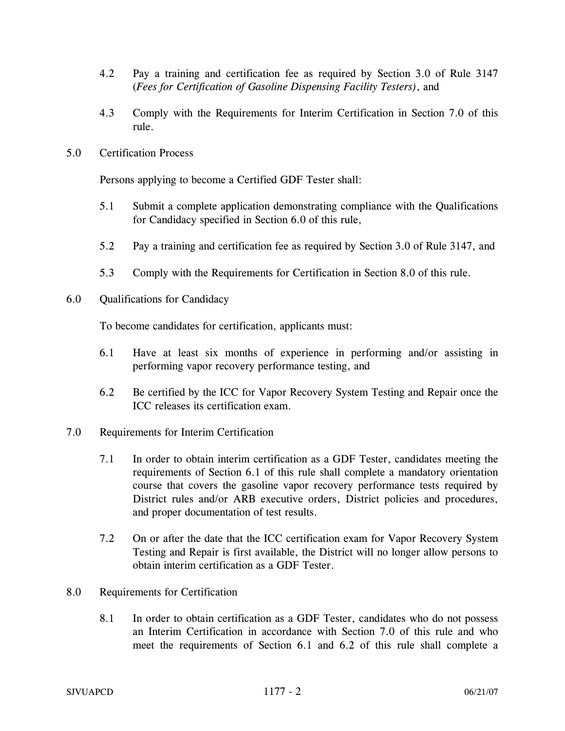- 4.2 Pay a training and certification fee as required by Section 3.0 of Rule 3147 (*Fees for Certification of Gasoline Dispensing Facility Testers)*, and
- 4.3 Comply with the Requirements for Interim Certification in Section 7.0 of this rule.
- 5.0 Certification Process

Persons applying to become a Certified GDF Tester shall:

- 5.1 Submit a complete application demonstrating compliance with the Qualifications for Candidacy specified in Section 6.0 of this rule,
- 5.2 Pay a training and certification fee as required by Section 3.0 of Rule 3147, and
- 5.3 Comply with the Requirements for Certification in Section 8.0 of this rule.
- 6.0 Qualifications for Candidacy

To become candidates for certification, applicants must:

- 6.1 Have at least six months of experience in performing and/or assisting in performing vapor recovery performance testing, and
- 6.2 Be certified by the ICC for Vapor Recovery System Testing and Repair once the ICC releases its certification exam.
- 7.0 Requirements for Interim Certification
	- 7.1 In order to obtain interim certification as a GDF Tester, candidates meeting the requirements of Section 6.1 of this rule shall complete a mandatory orientation course that covers the gasoline vapor recovery performance tests required by District rules and/or ARB executive orders, District policies and procedures, and proper documentation of test results.
	- 7.2 On or after the date that the ICC certification exam for Vapor Recovery System Testing and Repair is first available, the District will no longer allow persons to obtain interim certification as a GDF Tester.
- 8.0 Requirements for Certification
	- 8.1 In order to obtain certification as a GDF Tester, candidates who do not possess an Interim Certification in accordance with Section 7.0 of this rule and who meet the requirements of Section 6.1 and 6.2 of this rule shall complete a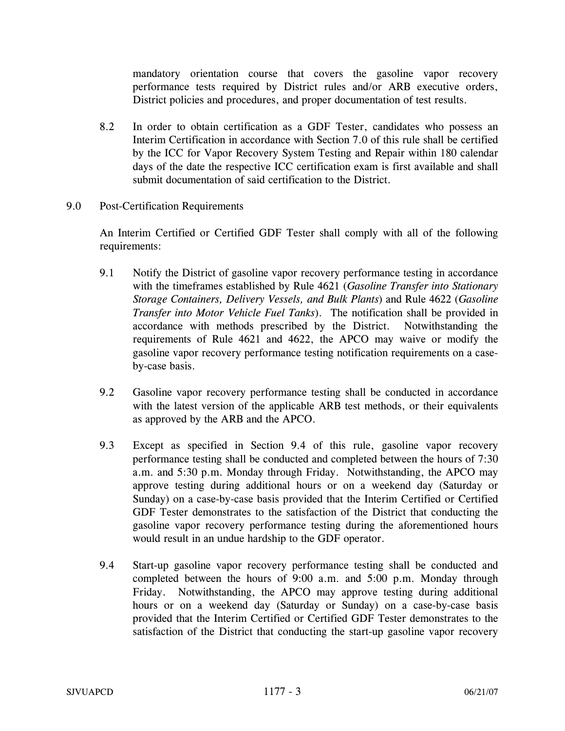mandatory orientation course that covers the gasoline vapor recovery performance tests required by District rules and/or ARB executive orders, District policies and procedures, and proper documentation of test results.

- 8.2 In order to obtain certification as a GDF Tester, candidates who possess an Interim Certification in accordance with Section 7.0 of this rule shall be certified by the ICC for Vapor Recovery System Testing and Repair within 180 calendar days of the date the respective ICC certification exam is first available and shall submit documentation of said certification to the District.
- 9.0 Post-Certification Requirements

An Interim Certified or Certified GDF Tester shall comply with all of the following requirements:

- 9.1 Notify the District of gasoline vapor recovery performance testing in accordance with the timeframes established by Rule 4621 (*Gasoline Transfer into Stationary Storage Containers, Delivery Vessels, and Bulk Plants*) and Rule 4622 (*Gasoline Transfer into Motor Vehicle Fuel Tanks*). The notification shall be provided in accordance with methods prescribed by the District. Notwithstanding the requirements of Rule 4621 and 4622, the APCO may waive or modify the gasoline vapor recovery performance testing notification requirements on a caseby-case basis.
- 9.2 Gasoline vapor recovery performance testing shall be conducted in accordance with the latest version of the applicable ARB test methods, or their equivalents as approved by the ARB and the APCO.
- 9.3 Except as specified in Section 9.4 of this rule, gasoline vapor recovery performance testing shall be conducted and completed between the hours of 7:30 a.m. and 5:30 p.m. Monday through Friday. Notwithstanding, the APCO may approve testing during additional hours or on a weekend day (Saturday or Sunday) on a case-by-case basis provided that the Interim Certified or Certified GDF Tester demonstrates to the satisfaction of the District that conducting the gasoline vapor recovery performance testing during the aforementioned hours would result in an undue hardship to the GDF operator.
- 9.4 Start-up gasoline vapor recovery performance testing shall be conducted and completed between the hours of 9:00 a.m. and 5:00 p.m. Monday through Friday. Notwithstanding, the APCO may approve testing during additional hours or on a weekend day (Saturday or Sunday) on a case-by-case basis provided that the Interim Certified or Certified GDF Tester demonstrates to the satisfaction of the District that conducting the start-up gasoline vapor recovery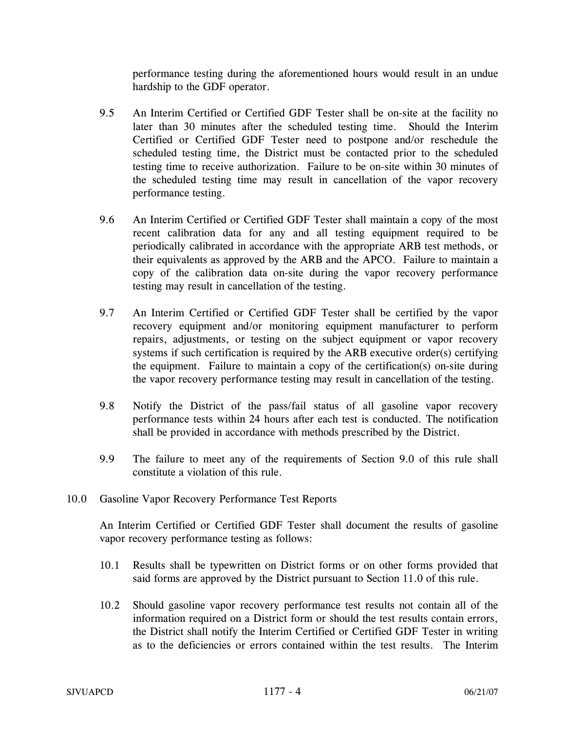performance testing during the aforementioned hours would result in an undue hardship to the GDF operator.

- 9.5 An Interim Certified or Certified GDF Tester shall be on-site at the facility no later than 30 minutes after the scheduled testing time. Should the Interim Certified or Certified GDF Tester need to postpone and/or reschedule the scheduled testing time, the District must be contacted prior to the scheduled testing time to receive authorization. Failure to be on-site within 30 minutes of the scheduled testing time may result in cancellation of the vapor recovery performance testing.
- 9.6 An Interim Certified or Certified GDF Tester shall maintain a copy of the most recent calibration data for any and all testing equipment required to be periodically calibrated in accordance with the appropriate ARB test methods, or their equivalents as approved by the ARB and the APCO. Failure to maintain a copy of the calibration data on-site during the vapor recovery performance testing may result in cancellation of the testing.
- 9.7 An Interim Certified or Certified GDF Tester shall be certified by the vapor recovery equipment and/or monitoring equipment manufacturer to perform repairs, adjustments, or testing on the subject equipment or vapor recovery systems if such certification is required by the ARB executive order(s) certifying the equipment. Failure to maintain a copy of the certification(s) on-site during the vapor recovery performance testing may result in cancellation of the testing.
- 9.8 Notify the District of the pass/fail status of all gasoline vapor recovery performance tests within 24 hours after each test is conducted. The notification shall be provided in accordance with methods prescribed by the District.
- 9.9 The failure to meet any of the requirements of Section 9.0 of this rule shall constitute a violation of this rule.
- 10.0 Gasoline Vapor Recovery Performance Test Reports

An Interim Certified or Certified GDF Tester shall document the results of gasoline vapor recovery performance testing as follows:

- 10.1 Results shall be typewritten on District forms or on other forms provided that said forms are approved by the District pursuant to Section 11.0 of this rule.
- 10.2 Should gasoline vapor recovery performance test results not contain all of the information required on a District form or should the test results contain errors, the District shall notify the Interim Certified or Certified GDF Tester in writing as to the deficiencies or errors contained within the test results. The Interim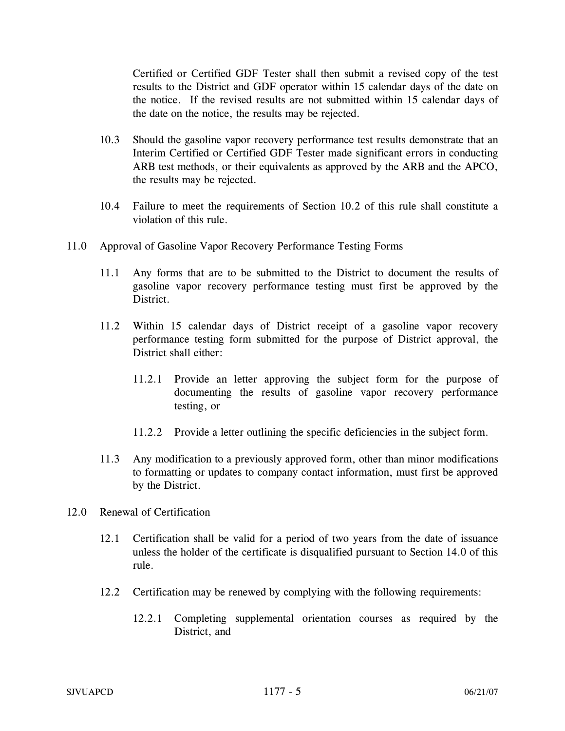Certified or Certified GDF Tester shall then submit a revised copy of the test results to the District and GDF operator within 15 calendar days of the date on the notice. If the revised results are not submitted within 15 calendar days of the date on the notice, the results may be rejected.

- 10.3 Should the gasoline vapor recovery performance test results demonstrate that an Interim Certified or Certified GDF Tester made significant errors in conducting ARB test methods, or their equivalents as approved by the ARB and the APCO, the results may be rejected.
- 10.4 Failure to meet the requirements of Section 10.2 of this rule shall constitute a violation of this rule.
- 11.0 Approval of Gasoline Vapor Recovery Performance Testing Forms
	- 11.1 Any forms that are to be submitted to the District to document the results of gasoline vapor recovery performance testing must first be approved by the District.
	- 11.2 Within 15 calendar days of District receipt of a gasoline vapor recovery performance testing form submitted for the purpose of District approval, the District shall either:
		- 11.2.1 Provide an letter approving the subject form for the purpose of documenting the results of gasoline vapor recovery performance testing, or
		- 11.2.2 Provide a letter outlining the specific deficiencies in the subject form.
	- 11.3 Any modification to a previously approved form, other than minor modifications to formatting or updates to company contact information, must first be approved by the District.
- 12.0 Renewal of Certification
	- 12.1 Certification shall be valid for a period of two years from the date of issuance unless the holder of the certificate is disqualified pursuant to Section 14.0 of this rule.
	- 12.2 Certification may be renewed by complying with the following requirements:
		- 12.2.1 Completing supplemental orientation courses as required by the District, and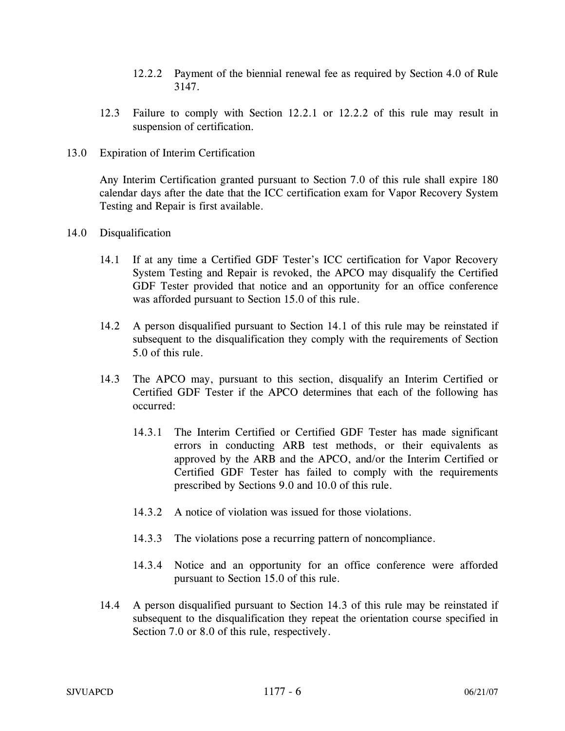- 12.2.2 Payment of the biennial renewal fee as required by Section 4.0 of Rule 3147.
- 12.3 Failure to comply with Section 12.2.1 or 12.2.2 of this rule may result in suspension of certification.
- 13.0 Expiration of Interim Certification

Any Interim Certification granted pursuant to Section 7.0 of this rule shall expire 180 calendar days after the date that the ICC certification exam for Vapor Recovery System Testing and Repair is first available.

- 14.0 Disqualification
	- 14.1 If at any time a Certified GDF Tester's ICC certification for Vapor Recovery System Testing and Repair is revoked, the APCO may disqualify the Certified GDF Tester provided that notice and an opportunity for an office conference was afforded pursuant to Section 15.0 of this rule.
	- 14.2 A person disqualified pursuant to Section 14.1 of this rule may be reinstated if subsequent to the disqualification they comply with the requirements of Section 5.0 of this rule.
	- 14.3 The APCO may, pursuant to this section, disqualify an Interim Certified or Certified GDF Tester if the APCO determines that each of the following has occurred:
		- 14.3.1 The Interim Certified or Certified GDF Tester has made significant errors in conducting ARB test methods, or their equivalents as approved by the ARB and the APCO, and/or the Interim Certified or Certified GDF Tester has failed to comply with the requirements prescribed by Sections 9.0 and 10.0 of this rule.
		- 14.3.2 A notice of violation was issued for those violations.
		- 14.3.3 The violations pose a recurring pattern of noncompliance.
		- 14.3.4 Notice and an opportunity for an office conference were afforded pursuant to Section 15.0 of this rule.
	- 14.4 A person disqualified pursuant to Section 14.3 of this rule may be reinstated if subsequent to the disqualification they repeat the orientation course specified in Section 7.0 or 8.0 of this rule, respectively.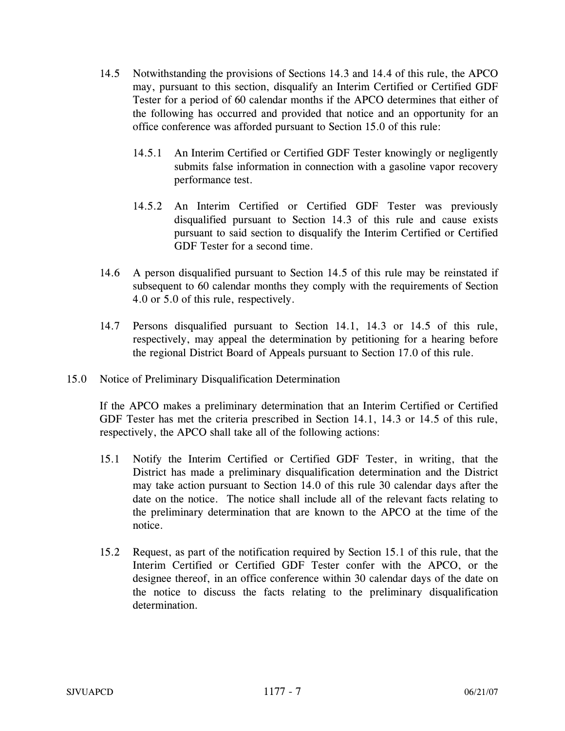- 14.5 Notwithstanding the provisions of Sections 14.3 and 14.4 of this rule, the APCO may, pursuant to this section, disqualify an Interim Certified or Certified GDF Tester for a period of 60 calendar months if the APCO determines that either of the following has occurred and provided that notice and an opportunity for an office conference was afforded pursuant to Section 15.0 of this rule:
	- 14.5.1 An Interim Certified or Certified GDF Tester knowingly or negligently submits false information in connection with a gasoline vapor recovery performance test.
	- 14.5.2 An Interim Certified or Certified GDF Tester was previously disqualified pursuant to Section 14.3 of this rule and cause exists pursuant to said section to disqualify the Interim Certified or Certified GDF Tester for a second time.
- 14.6 A person disqualified pursuant to Section 14.5 of this rule may be reinstated if subsequent to 60 calendar months they comply with the requirements of Section 4.0 or 5.0 of this rule, respectively.
- 14.7 Persons disqualified pursuant to Section 14.1, 14.3 or 14.5 of this rule, respectively, may appeal the determination by petitioning for a hearing before the regional District Board of Appeals pursuant to Section 17.0 of this rule.
- 15.0 Notice of Preliminary Disqualification Determination

If the APCO makes a preliminary determination that an Interim Certified or Certified GDF Tester has met the criteria prescribed in Section 14.1, 14.3 or 14.5 of this rule, respectively, the APCO shall take all of the following actions:

- 15.1 Notify the Interim Certified or Certified GDF Tester, in writing, that the District has made a preliminary disqualification determination and the District may take action pursuant to Section 14.0 of this rule 30 calendar days after the date on the notice. The notice shall include all of the relevant facts relating to the preliminary determination that are known to the APCO at the time of the notice.
- 15.2 Request, as part of the notification required by Section 15.1 of this rule, that the Interim Certified or Certified GDF Tester confer with the APCO, or the designee thereof, in an office conference within 30 calendar days of the date on the notice to discuss the facts relating to the preliminary disqualification determination.